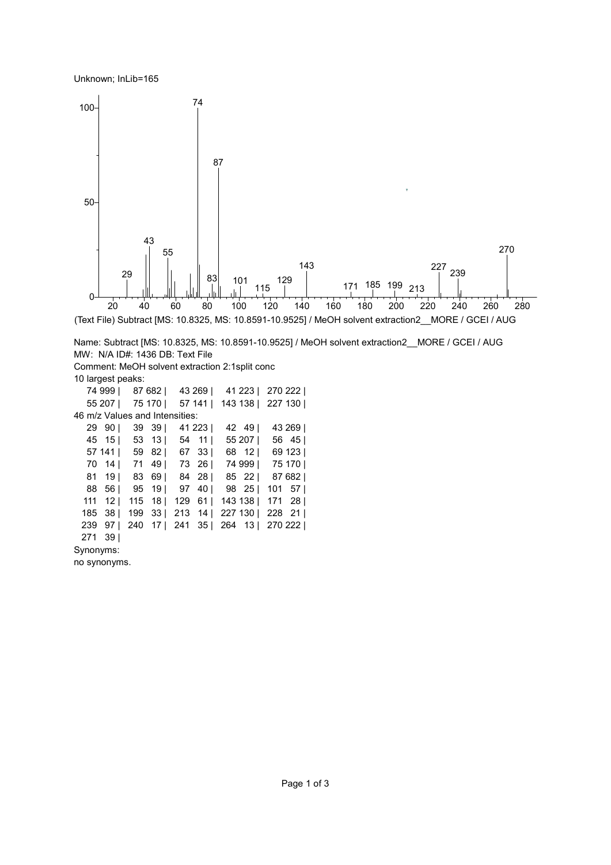Unknown; InLib=165



 141 | 59 82 | 67 33 | 68 12 | 69 123 | 14 | 71 49 | 73 26 | 74 999 | 75 170 |

81 19 | 83 69 | 84 28 | 85 22 | 87 682 | 56 | 95 19 | 97 40 | 98 25 | 101 57 | 12 | 115 18 | 129 61 | 143 138 | 171 28 | 38 | 199 33 | 213 14 | 227 130 | 228 21 | 97 | 240 17 | 241 35 | 264 13 | 270 222 | 39 |

29 90 | 39 39 | 41 223 | 42 49 | 43 269 | 15 | 53 13 | 54 11 | 55 207 | 56 45 |

Synonyms:

no synonyms.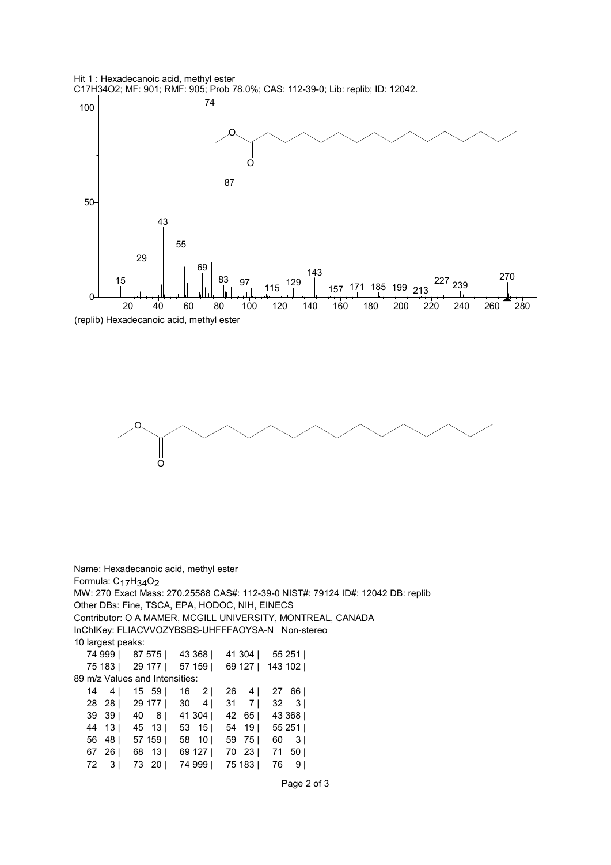

<sup>97</sup> <sup>115</sup> <sup>129</sup>



69

83

87

50

15

 $29$ 

43

55



143

157 171 185 199 213

<sup>227</sup> <sup>239</sup>

270

Name: Hexadecanoic acid, methyl ester Formula: C<sub>17</sub>H<sub>34</sub>O<sub>2</sub> MW: 270 Exact Mass: 270.25588 CAS#: 112-39-0 NIST#: 79124 ID#: 12042 DB: replib Other DBs: Fine, TSCA, EPA, HODOC, NIH, EINECS Contributor: O A MAMER, MCGILL UNIVERSITY, MONTREAL, CANADA InChIKey: FLIACVVOZYBSBS-UHFFFAOYSA-N Non-stereo 10 largest peaks: 74 999 | 87 575 | 43 368 | 41 304 | 55 251 | 75 183 | 29 177 | 57 159 | 69 127 | 143 102 | 89 m/z Values and Intensities: 14 4 | 15 59 | 16 2 | 26 4 | 27 66 | 28 28 | 29 177 | 30 4 | 31 7 | 32 3 | 39 39 | 40 8 | 41 304 | 42 65 | 43 368 | 44 13 | 45 13 | 53 15 | 54 19 | 55 251 | 56 48 | 57 159 | 58 10 | 59 75 | 60 3 | 67 26 | 68 13 | 69 127 | 70 23 | 71 50 | 72 3 | 73 20 | 74 999 | 75 183 | 76 9 |